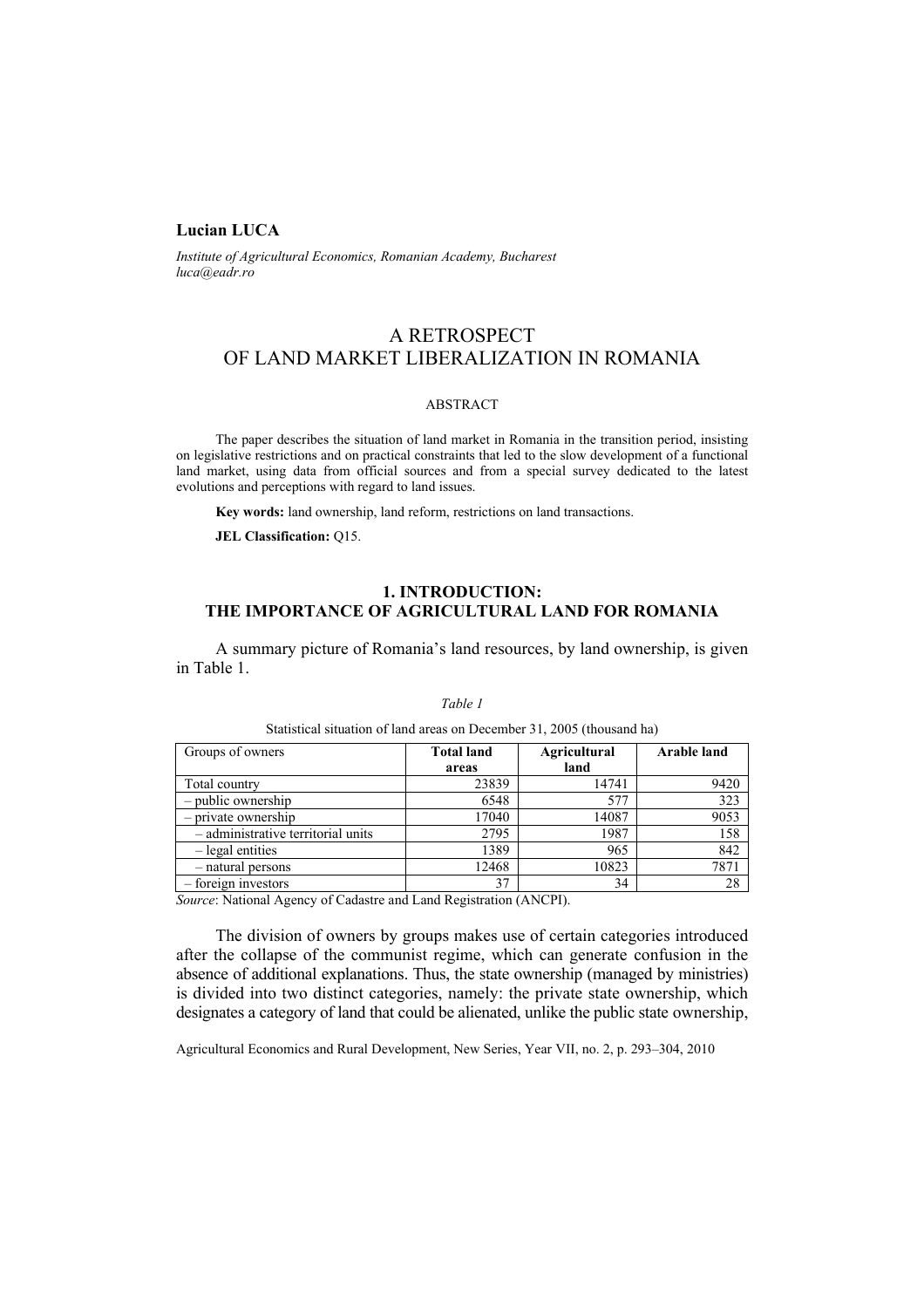## **Lucian LUCA**

*Institute of Agricultural Economics, Romanian Academy, Bucharest luca@eadr.ro*

# A RETROSPECT OF LAND MARKET LIBERALIZATION IN ROMANIA

#### ABSTRACT

The paper describes the situation of land market in Romania in the transition period, insisting on legislative restrictions and on practical constraints that led to the slow development of a functional land market, using data from official sources and from a special survey dedicated to the latest evolutions and perceptions with regard to land issues.

**Key words:** land ownership, land reform, restrictions on land transactions.

**JEL Classification:** Q15.

## **1. INTRODUCTION: THE IMPORTANCE OF AGRICULTURAL LAND FOR ROMANIA**

A summary picture of Romania's land resources, by land ownership, is given in Table 1.

| Groups of owners                   | <b>Total land</b><br>areas | <b>Agricultural</b><br>land | <b>Arable land</b> |
|------------------------------------|----------------------------|-----------------------------|--------------------|
| Total country                      | 23839                      | 14741                       | 9420               |
| - public ownership                 | 6548                       | 577                         | 323                |
| - private ownership                | 17040                      | 14087                       | 9053               |
| - administrative territorial units | 2795                       | 1987                        | 158                |
| - legal entities                   | 1389                       | 965                         | 842                |
| - natural persons                  | 12468                      | 10823                       | 7871               |
| - foreign investors                | 37                         | 34                          | 28                 |

#### *Table 1*

Statistical situation of land areas on December 31, 2005 (thousand ha)

*Source*: National Agency of Cadastre and Land Registration (ANCPI).

The division of owners by groups makes use of certain categories introduced after the collapse of the communist regime, which can generate confusion in the absence of additional explanations. Thus, the state ownership (managed by ministries) is divided into two distinct categories, namely: the private state ownership, which designates a category of land that could be alienated, unlike the public state ownership,

Agricultural Economics and Rural Development, New Series, Year VII, no. 2, p. 293–304, 2010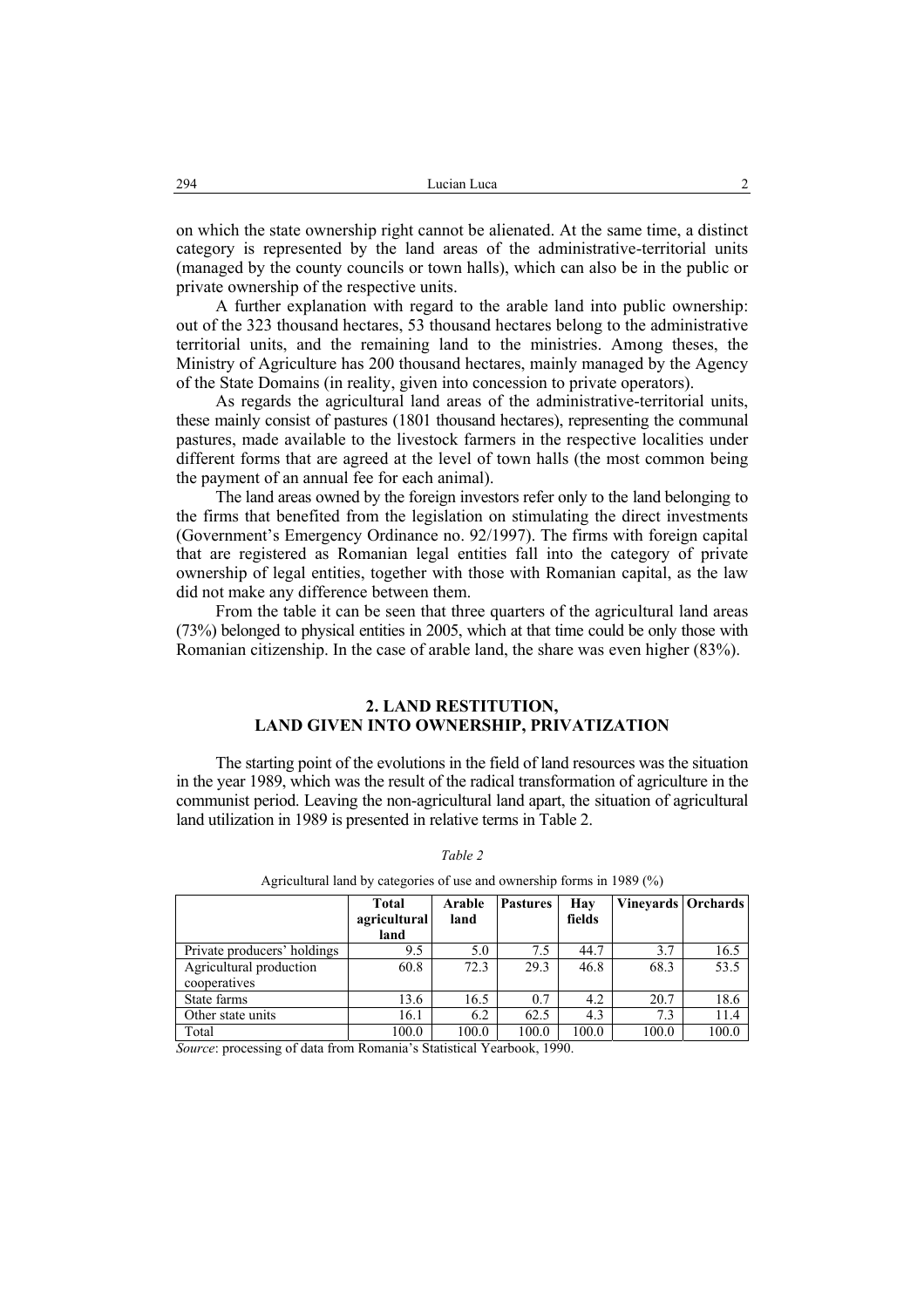on which the state ownership right cannot be alienated. At the same time, a distinct category is represented by the land areas of the administrative-territorial units (managed by the county councils or town halls), which can also be in the public or private ownership of the respective units.

A further explanation with regard to the arable land into public ownership: out of the 323 thousand hectares, 53 thousand hectares belong to the administrative territorial units, and the remaining land to the ministries. Among theses, the Ministry of Agriculture has 200 thousand hectares, mainly managed by the Agency of the State Domains (in reality, given into concession to private operators).

As regards the agricultural land areas of the administrative-territorial units, these mainly consist of pastures (1801 thousand hectares), representing the communal pastures, made available to the livestock farmers in the respective localities under different forms that are agreed at the level of town halls (the most common being the payment of an annual fee for each animal).

The land areas owned by the foreign investors refer only to the land belonging to the firms that benefited from the legislation on stimulating the direct investments (Government's Emergency Ordinance no. 92/1997). The firms with foreign capital that are registered as Romanian legal entities fall into the category of private ownership of legal entities, together with those with Romanian capital, as the law did not make any difference between them.

From the table it can be seen that three quarters of the agricultural land areas (73%) belonged to physical entities in 2005, which at that time could be only those with Romanian citizenship. In the case of arable land, the share was even higher (83%).

### **2. LAND RESTITUTION, LAND GIVEN INTO OWNERSHIP, PRIVATIZATION**

The starting point of the evolutions in the field of land resources was the situation in the year 1989, which was the result of the radical transformation of agriculture in the communist period. Leaving the non-agricultural land apart, the situation of agricultural land utilization in 1989 is presented in relative terms in Table 2.

|                             | <b>Total</b> | Arable | <b>Pastures</b> | Hav    | Vineyards   Orchards |       |  |
|-----------------------------|--------------|--------|-----------------|--------|----------------------|-------|--|
|                             | agricultural | land   |                 | fields |                      |       |  |
|                             | land         |        |                 |        |                      |       |  |
| Private producers' holdings | 9.5          | 5.0    | 7.5             | 44.7   | 3.7                  | 16.5  |  |
| Agricultural production     | 60.8         | 72.3   | 29.3            | 46.8   | 68.3                 | 53.5  |  |
| cooperatives                |              |        |                 |        |                      |       |  |
| State farms                 | 13.6         | 16.5   | 0.7             | 4.2    | 20.7                 | 18.6  |  |
| Other state units           | 16.1         | 6.2    | 62.5            | 4.3    | 7.3                  | 11.4  |  |
| Total                       | 100.0        | 100.0  | 100.0           | 100.0  | 100.0                | 100.0 |  |

#### *Table 2*

Agricultural land by categories of use and ownership forms in 1989 (%)

*Source*: processing of data from Romania's Statistical Yearbook, 1990.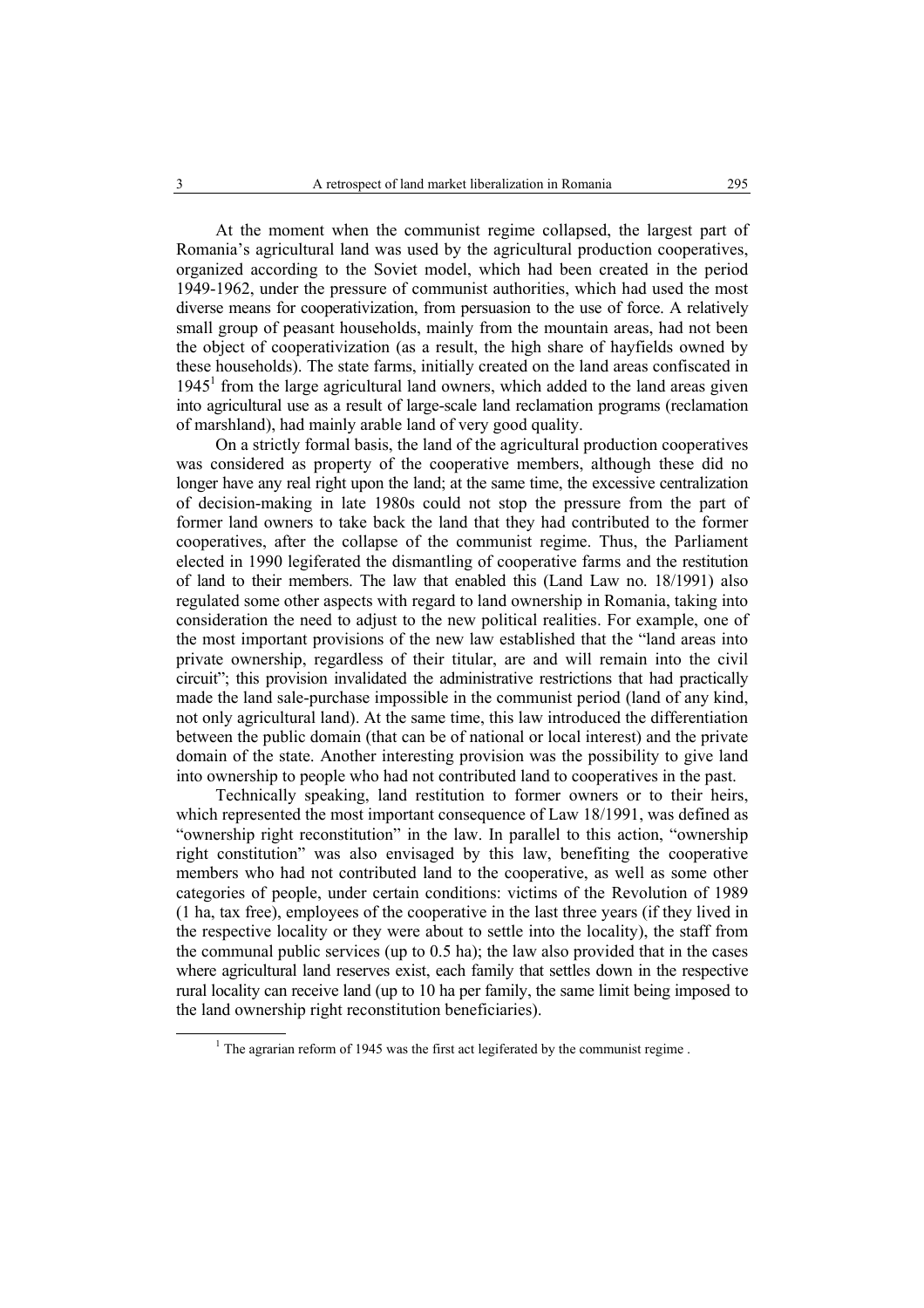At the moment when the communist regime collapsed, the largest part of Romania's agricultural land was used by the agricultural production cooperatives, organized according to the Soviet model, which had been created in the period 1949-1962, under the pressure of communist authorities, which had used the most diverse means for cooperativization, from persuasion to the use of force. A relatively small group of peasant households, mainly from the mountain areas, had not been the object of cooperativization (as a result, the high share of hayfields owned by these households). The state farms, initially created on the land areas confiscated in  $1945<sup>1</sup>$  from the large agricultural land owners, which added to the land areas given into agricultural use as a result of large-scale land reclamation programs (reclamation of marshland), had mainly arable land of very good quality.

On a strictly formal basis, the land of the agricultural production cooperatives was considered as property of the cooperative members, although these did no longer have any real right upon the land; at the same time, the excessive centralization of decision-making in late 1980s could not stop the pressure from the part of former land owners to take back the land that they had contributed to the former cooperatives, after the collapse of the communist regime. Thus, the Parliament elected in 1990 legiferated the dismantling of cooperative farms and the restitution of land to their members. The law that enabled this (Land Law no. 18/1991) also regulated some other aspects with regard to land ownership in Romania, taking into consideration the need to adjust to the new political realities. For example, one of the most important provisions of the new law established that the "land areas into private ownership, regardless of their titular, are and will remain into the civil circuit"; this provision invalidated the administrative restrictions that had practically made the land sale-purchase impossible in the communist period (land of any kind, not only agricultural land). At the same time, this law introduced the differentiation between the public domain (that can be of national or local interest) and the private domain of the state. Another interesting provision was the possibility to give land into ownership to people who had not contributed land to cooperatives in the past.

Technically speaking, land restitution to former owners or to their heirs, which represented the most important consequence of Law 18/1991, was defined as "ownership right reconstitution" in the law. In parallel to this action, "ownership right constitution" was also envisaged by this law, benefiting the cooperative members who had not contributed land to the cooperative, as well as some other categories of people, under certain conditions: victims of the Revolution of 1989 (1 ha, tax free), employees of the cooperative in the last three years (if they lived in the respective locality or they were about to settle into the locality), the staff from the communal public services (up to 0.5 ha); the law also provided that in the cases where agricultural land reserves exist, each family that settles down in the respective rural locality can receive land (up to 10 ha per family, the same limit being imposed to the land ownership right reconstitution beneficiaries).

 $\overline{\phantom{a}}$  $1$ . The agrarian reform of 1945 was the first act legiferated by the communist regime.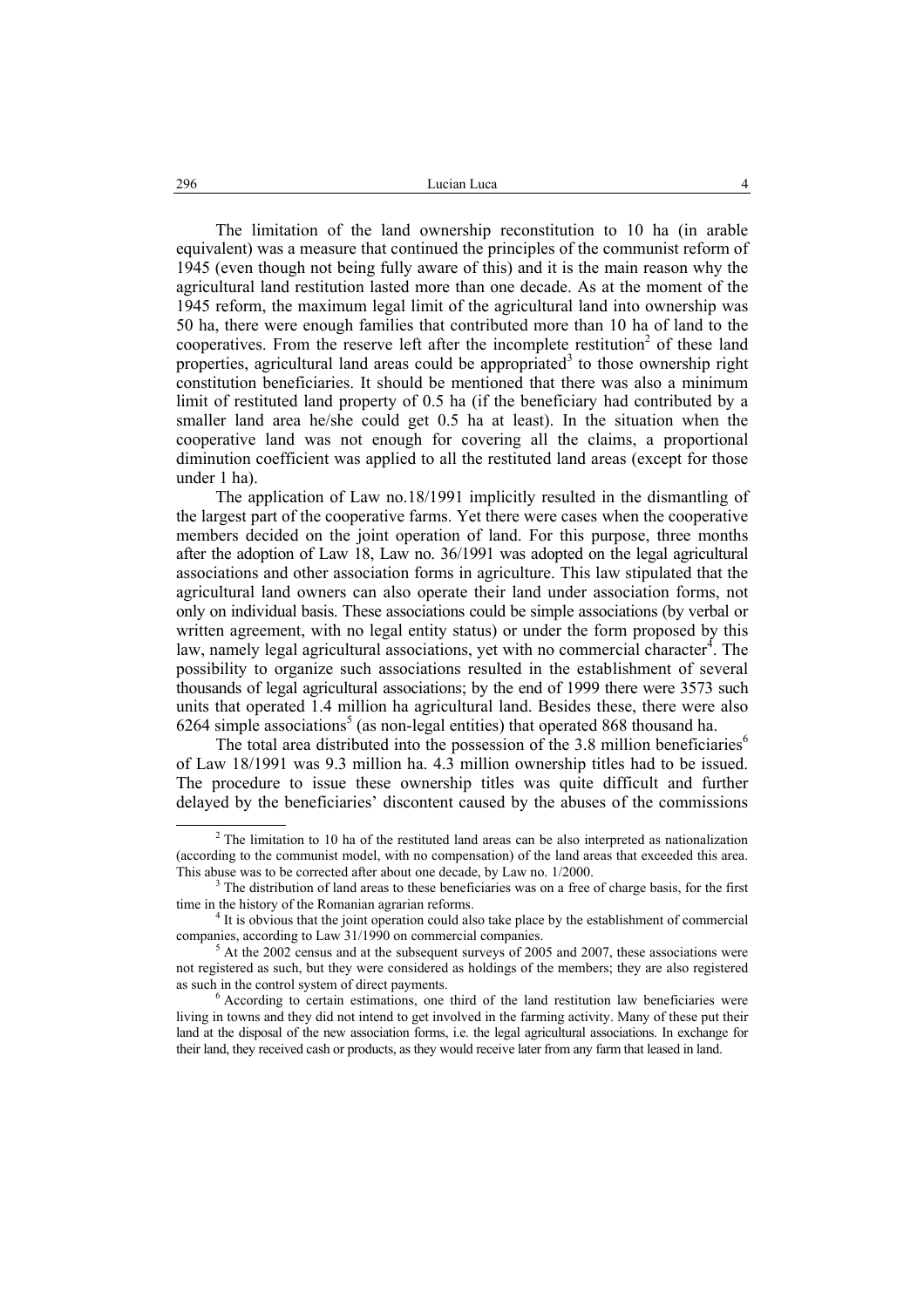The limitation of the land ownership reconstitution to 10 ha (in arable equivalent) was a measure that continued the principles of the communist reform of 1945 (even though not being fully aware of this) and it is the main reason why the agricultural land restitution lasted more than one decade. As at the moment of the 1945 reform, the maximum legal limit of the agricultural land into ownership was 50 ha, there were enough families that contributed more than 10 ha of land to the cooperatives. From the reserve left after the incomplete restitution<sup>2</sup> of these land properties, agricultural land areas could be appropriated<sup>3</sup> to those ownership right constitution beneficiaries. It should be mentioned that there was also a minimum limit of restituted land property of 0.5 ha (if the beneficiary had contributed by a smaller land area he/she could get 0.5 ha at least). In the situation when the cooperative land was not enough for covering all the claims, a proportional diminution coefficient was applied to all the restituted land areas (except for those under 1 ha).

The application of Law no.18/1991 implicitly resulted in the dismantling of the largest part of the cooperative farms. Yet there were cases when the cooperative members decided on the joint operation of land. For this purpose, three months after the adoption of Law 18, Law no. 36/1991 was adopted on the legal agricultural associations and other association forms in agriculture. This law stipulated that the agricultural land owners can also operate their land under association forms, not only on individual basis. These associations could be simple associations (by verbal or written agreement, with no legal entity status) or under the form proposed by this law, namely legal agricultural associations, yet with no commercial character<sup>4</sup>. The possibility to organize such associations resulted in the establishment of several thousands of legal agricultural associations; by the end of 1999 there were 3573 such units that operated 1.4 million ha agricultural land. Besides these, there were also  $6264$  simple associations<sup>5</sup> (as non-legal entities) that operated 868 thousand ha.

The total area distributed into the possession of the 3.8 million beneficiaries<sup>6</sup> of Law 18/1991 was 9.3 million ha. 4.3 million ownership titles had to be issued. The procedure to issue these ownership titles was quite difficult and further delayed by the beneficiaries' discontent caused by the abuses of the commissions

 <sup>2</sup>  $2$ <sup>2</sup> The limitation to 10 ha of the restituted land areas can be also interpreted as nationalization (according to the communist model, with no compensation) of the land areas that exceeded this area. This abuse was to be corrected after about one decade, by Law no. 1/2000.

 $3$  The distribution of land areas to these beneficiaries was on a free of charge basis, for the first time in the history of the Romanian agrarian reforms. 4

 $<sup>4</sup>$  It is obvious that the joint operation could also take place by the establishment of commercial</sup> companies, according to Law 31/1990 on commercial companies.

At the 2002 census and at the subsequent surveys of 2005 and 2007, these associations were not registered as such, but they were considered as holdings of the members; they are also registered as such in the control system of direct payments.

 $6$  According to certain estimations, one third of the land restitution law beneficiaries were living in towns and they did not intend to get involved in the farming activity. Many of these put their land at the disposal of the new association forms, i.e. the legal agricultural associations. In exchange for their land, they received cash or products, as they would receive later from any farm that leased in land.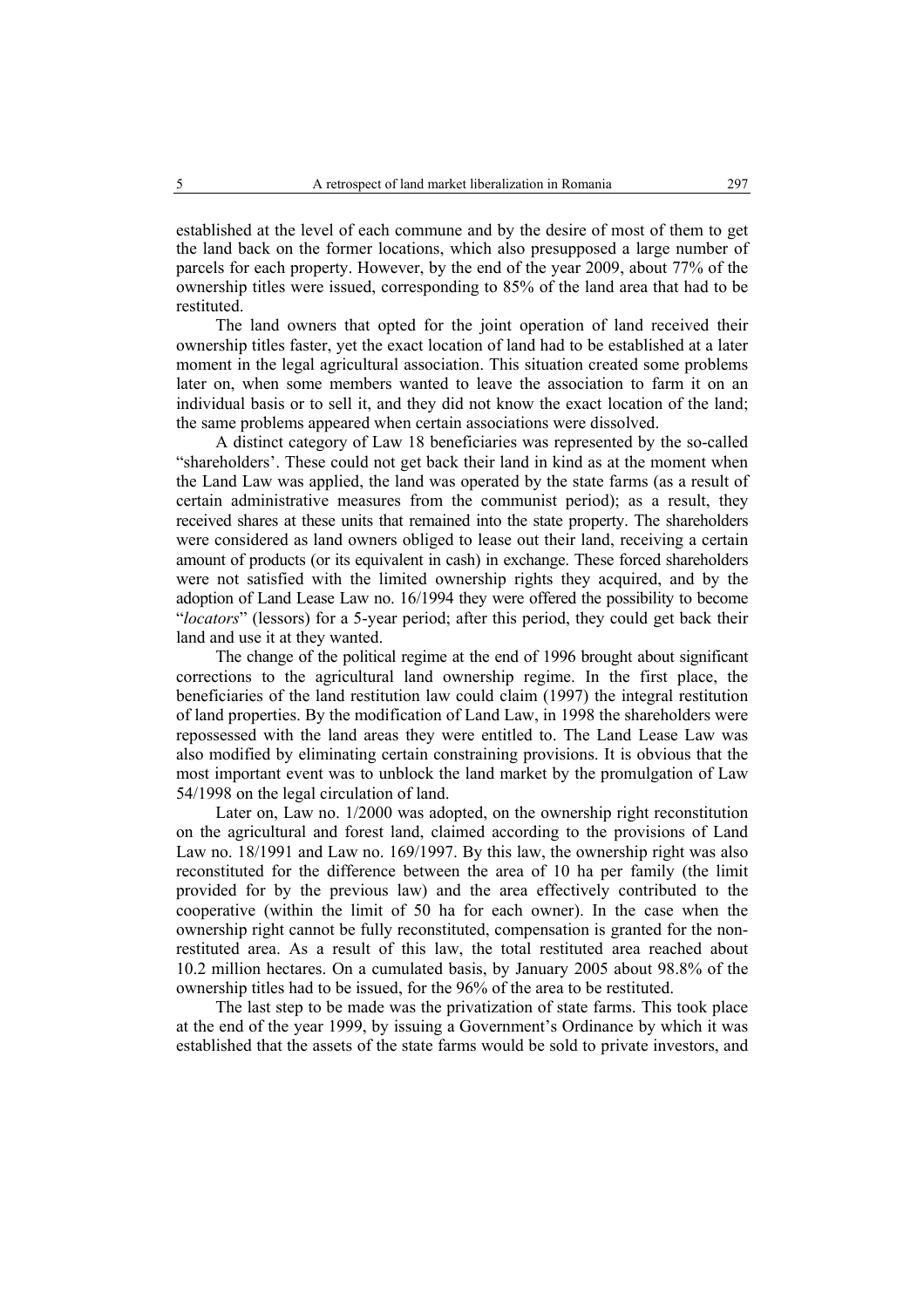established at the level of each commune and by the desire of most of them to get the land back on the former locations, which also presupposed a large number of parcels for each property. However, by the end of the year 2009, about 77% of the ownership titles were issued, corresponding to 85% of the land area that had to be restituted.

The land owners that opted for the joint operation of land received their ownership titles faster, yet the exact location of land had to be established at a later moment in the legal agricultural association. This situation created some problems later on, when some members wanted to leave the association to farm it on an individual basis or to sell it, and they did not know the exact location of the land; the same problems appeared when certain associations were dissolved.

A distinct category of Law 18 beneficiaries was represented by the so-called "shareholders'. These could not get back their land in kind as at the moment when the Land Law was applied, the land was operated by the state farms (as a result of certain administrative measures from the communist period); as a result, they received shares at these units that remained into the state property. The shareholders were considered as land owners obliged to lease out their land, receiving a certain amount of products (or its equivalent in cash) in exchange. These forced shareholders were not satisfied with the limited ownership rights they acquired, and by the adoption of Land Lease Law no. 16/1994 they were offered the possibility to become "*locators*" (lessors) for a 5-year period; after this period, they could get back their land and use it at they wanted.

The change of the political regime at the end of 1996 brought about significant corrections to the agricultural land ownership regime. In the first place, the beneficiaries of the land restitution law could claim (1997) the integral restitution of land properties. By the modification of Land Law, in 1998 the shareholders were repossessed with the land areas they were entitled to. The Land Lease Law was also modified by eliminating certain constraining provisions. It is obvious that the most important event was to unblock the land market by the promulgation of Law 54/1998 on the legal circulation of land.

Later on, Law no. 1/2000 was adopted, on the ownership right reconstitution on the agricultural and forest land, claimed according to the provisions of Land Law no. 18/1991 and Law no. 169/1997. By this law, the ownership right was also reconstituted for the difference between the area of 10 ha per family (the limit provided for by the previous law) and the area effectively contributed to the cooperative (within the limit of 50 ha for each owner). In the case when the ownership right cannot be fully reconstituted, compensation is granted for the nonrestituted area. As a result of this law, the total restituted area reached about 10.2 million hectares. On a cumulated basis, by January 2005 about 98.8% of the ownership titles had to be issued, for the 96% of the area to be restituted.

The last step to be made was the privatization of state farms. This took place at the end of the year 1999, by issuing a Government's Ordinance by which it was established that the assets of the state farms would be sold to private investors, and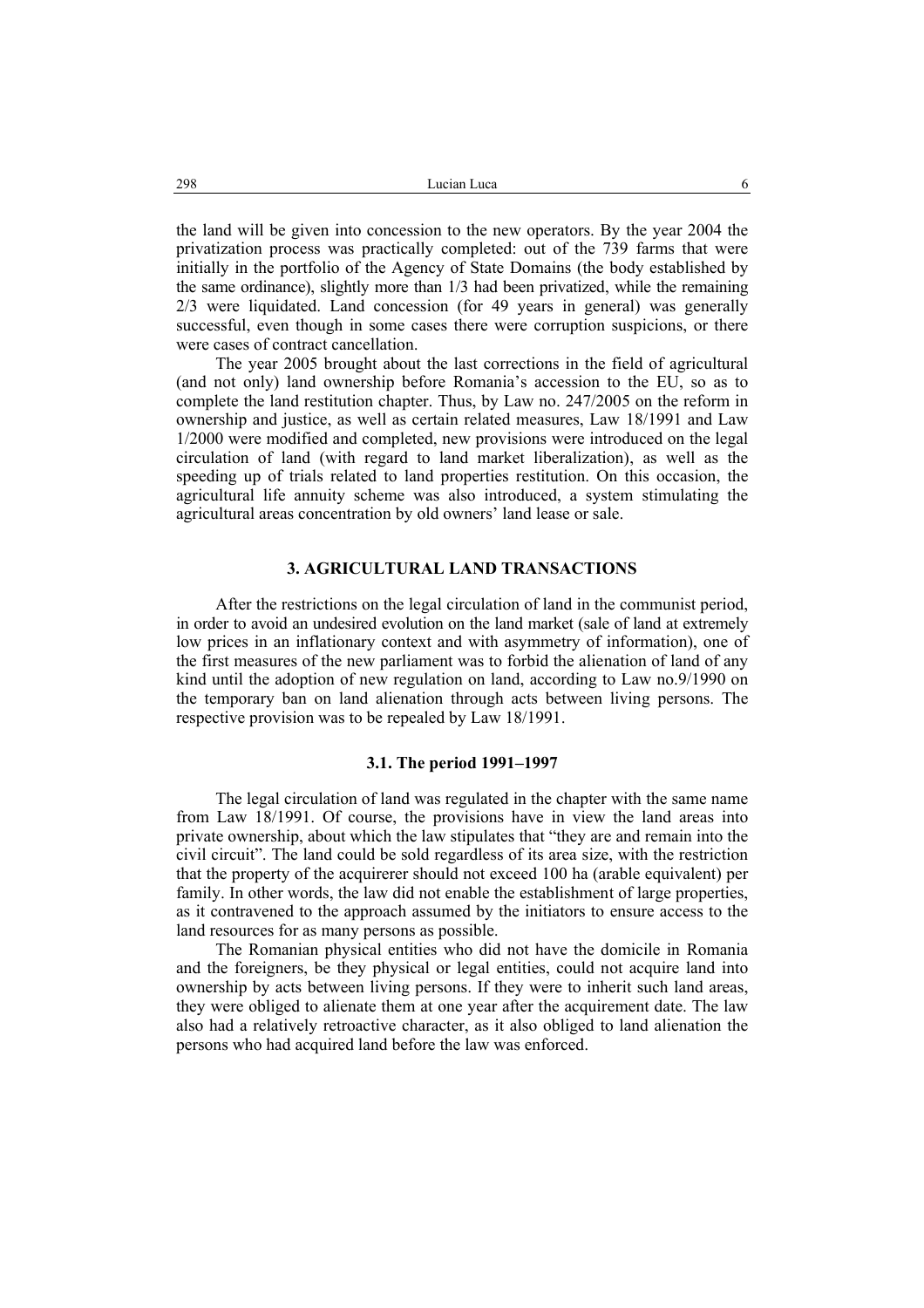the land will be given into concession to the new operators. By the year 2004 the privatization process was practically completed: out of the 739 farms that were initially in the portfolio of the Agency of State Domains (the body established by the same ordinance), slightly more than 1/3 had been privatized, while the remaining 2/3 were liquidated. Land concession (for 49 years in general) was generally successful, even though in some cases there were corruption suspicions, or there were cases of contract cancellation.

The year 2005 brought about the last corrections in the field of agricultural (and not only) land ownership before Romania's accession to the EU, so as to complete the land restitution chapter. Thus, by Law no. 247/2005 on the reform in ownership and justice, as well as certain related measures, Law 18/1991 and Law 1/2000 were modified and completed, new provisions were introduced on the legal circulation of land (with regard to land market liberalization), as well as the speeding up of trials related to land properties restitution. On this occasion, the agricultural life annuity scheme was also introduced, a system stimulating the agricultural areas concentration by old owners' land lease or sale.

### **3. AGRICULTURAL LAND TRANSACTIONS**

After the restrictions on the legal circulation of land in the communist period, in order to avoid an undesired evolution on the land market (sale of land at extremely low prices in an inflationary context and with asymmetry of information), one of the first measures of the new parliament was to forbid the alienation of land of any kind until the adoption of new regulation on land, according to Law no.9/1990 on the temporary ban on land alienation through acts between living persons. The respective provision was to be repealed by Law 18/1991.

#### **3.1. The period 1991–1997**

The legal circulation of land was regulated in the chapter with the same name from Law 18/1991. Of course, the provisions have in view the land areas into private ownership, about which the law stipulates that "they are and remain into the civil circuit". The land could be sold regardless of its area size, with the restriction that the property of the acquirerer should not exceed 100 ha (arable equivalent) per family. In other words, the law did not enable the establishment of large properties, as it contravened to the approach assumed by the initiators to ensure access to the land resources for as many persons as possible.

The Romanian physical entities who did not have the domicile in Romania and the foreigners, be they physical or legal entities, could not acquire land into ownership by acts between living persons. If they were to inherit such land areas, they were obliged to alienate them at one year after the acquirement date. The law also had a relatively retroactive character, as it also obliged to land alienation the persons who had acquired land before the law was enforced.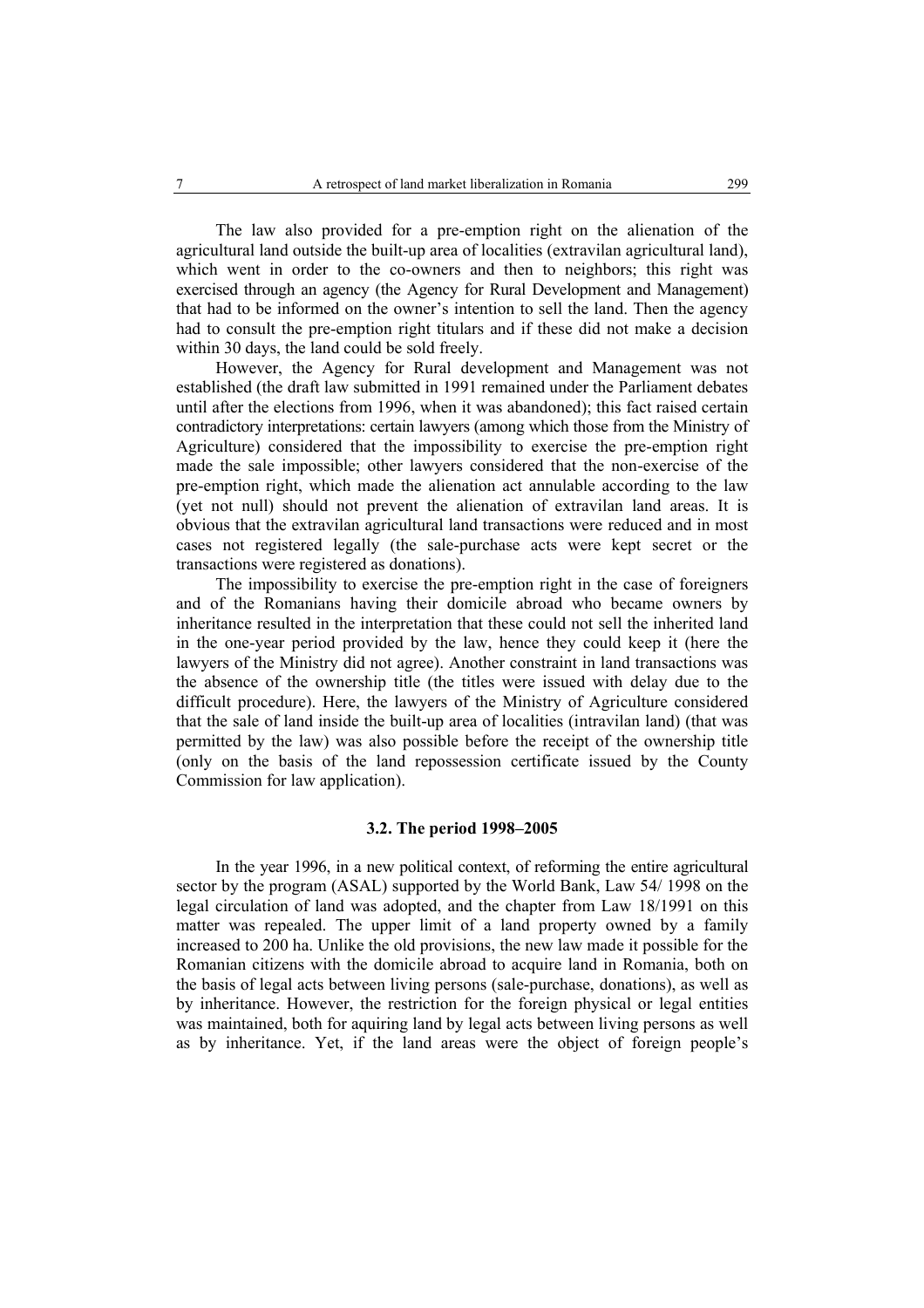The law also provided for a pre-emption right on the alienation of the agricultural land outside the built-up area of localities (extravilan agricultural land), which went in order to the co-owners and then to neighbors; this right was exercised through an agency (the Agency for Rural Development and Management) that had to be informed on the owner's intention to sell the land. Then the agency had to consult the pre-emption right titulars and if these did not make a decision within 30 days, the land could be sold freely.

However, the Agency for Rural development and Management was not established (the draft law submitted in 1991 remained under the Parliament debates until after the elections from 1996, when it was abandoned); this fact raised certain contradictory interpretations: certain lawyers (among which those from the Ministry of Agriculture) considered that the impossibility to exercise the pre-emption right made the sale impossible; other lawyers considered that the non-exercise of the pre-emption right, which made the alienation act annulable according to the law (yet not null) should not prevent the alienation of extravilan land areas. It is obvious that the extravilan agricultural land transactions were reduced and in most cases not registered legally (the sale-purchase acts were kept secret or the transactions were registered as donations).

The impossibility to exercise the pre-emption right in the case of foreigners and of the Romanians having their domicile abroad who became owners by inheritance resulted in the interpretation that these could not sell the inherited land in the one-year period provided by the law, hence they could keep it (here the lawyers of the Ministry did not agree). Another constraint in land transactions was the absence of the ownership title (the titles were issued with delay due to the difficult procedure). Here, the lawyers of the Ministry of Agriculture considered that the sale of land inside the built-up area of localities (intravilan land) (that was permitted by the law) was also possible before the receipt of the ownership title (only on the basis of the land repossession certificate issued by the County Commission for law application).

### **3.2. The period 1998–2005**

In the year 1996, in a new political context, of reforming the entire agricultural sector by the program (ASAL) supported by the World Bank, Law 54/ 1998 on the legal circulation of land was adopted, and the chapter from Law 18/1991 on this matter was repealed. The upper limit of a land property owned by a family increased to 200 ha. Unlike the old provisions, the new law made it possible for the Romanian citizens with the domicile abroad to acquire land in Romania, both on the basis of legal acts between living persons (sale-purchase, donations), as well as by inheritance. However, the restriction for the foreign physical or legal entities was maintained, both for aquiring land by legal acts between living persons as well as by inheritance. Yet, if the land areas were the object of foreign people's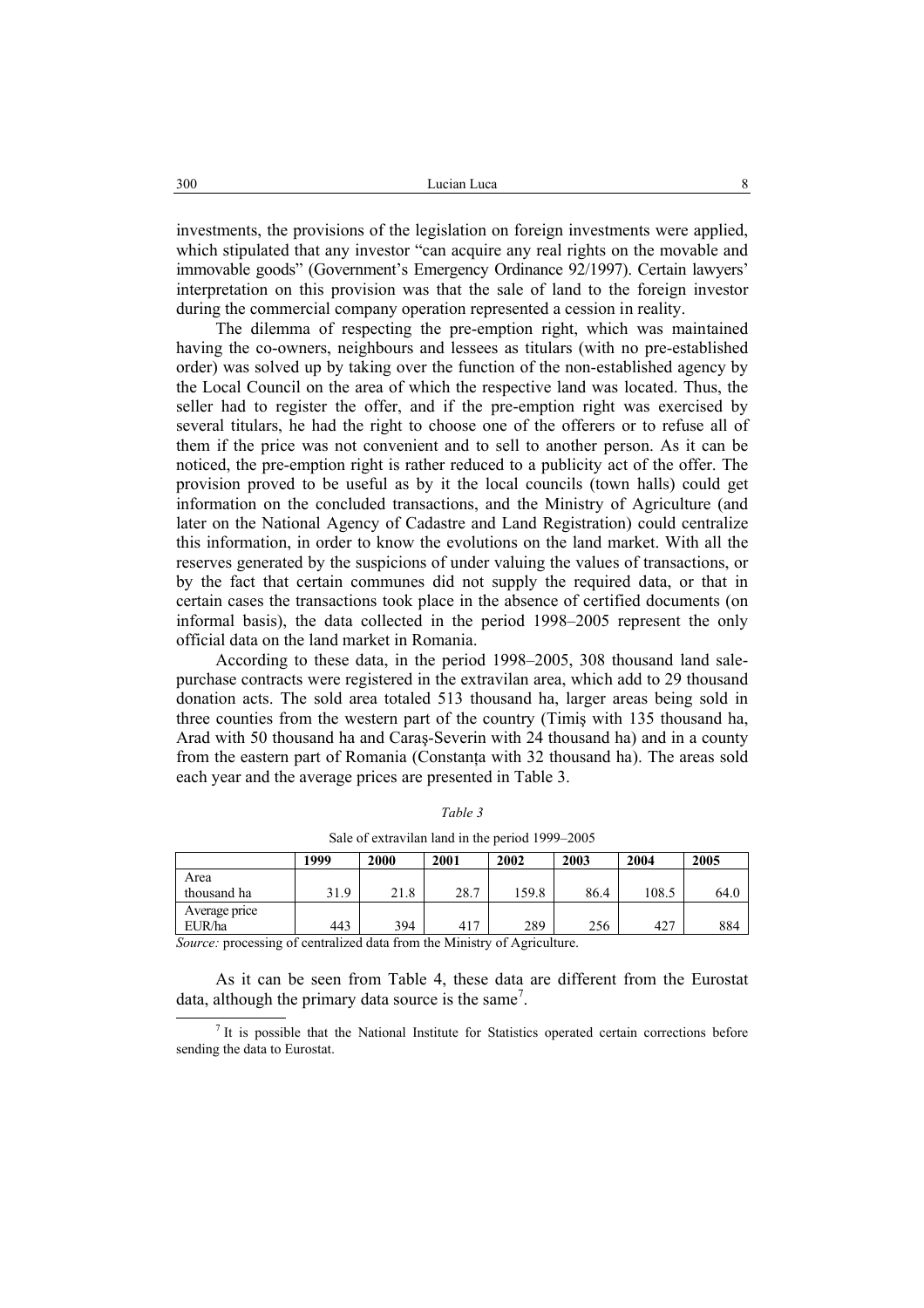investments, the provisions of the legislation on foreign investments were applied, which stipulated that any investor "can acquire any real rights on the movable and immovable goods" (Government's Emergency Ordinance 92/1997). Certain lawyers' interpretation on this provision was that the sale of land to the foreign investor during the commercial company operation represented a cession in reality.

The dilemma of respecting the pre-emption right, which was maintained having the co-owners, neighbours and lessees as titulars (with no pre-established order) was solved up by taking over the function of the non-established agency by the Local Council on the area of which the respective land was located. Thus, the seller had to register the offer, and if the pre-emption right was exercised by several titulars, he had the right to choose one of the offerers or to refuse all of them if the price was not convenient and to sell to another person. As it can be noticed, the pre-emption right is rather reduced to a publicity act of the offer. The provision proved to be useful as by it the local councils (town halls) could get information on the concluded transactions, and the Ministry of Agriculture (and later on the National Agency of Cadastre and Land Registration) could centralize this information, in order to know the evolutions on the land market. With all the reserves generated by the suspicions of under valuing the values of transactions, or by the fact that certain communes did not supply the required data, or that in certain cases the transactions took place in the absence of certified documents (on informal basis), the data collected in the period 1998–2005 represent the only official data on the land market in Romania.

According to these data, in the period 1998–2005, 308 thousand land salepurchase contracts were registered in the extravilan area, which add to 29 thousand donation acts. The sold area totaled 513 thousand ha, larger areas being sold in three counties from the western part of the country (Timiş with 135 thousand ha, Arad with 50 thousand ha and Caraş-Severin with 24 thousand ha) and in a county from the eastern part of Romania (Constanta with 32 thousand ha). The areas sold each year and the average prices are presented in Table 3.

|               | 1999 | 2000 | 2001 | 2002  | 2003 | 2004  | 2005 |
|---------------|------|------|------|-------|------|-------|------|
| Area          |      |      |      |       |      |       |      |
| thousand ha   | 31.9 | 21.8 | 28.7 | 159.8 | 86.4 | 108.5 | 64.0 |
| Average price |      |      |      |       |      |       |      |
| EUR/ha        | 443  | 394  | 417  | 289   | 256  | 427   | 884  |

*Table 3*  Sale of extravilan land in the period 1999–2005

*Source:* processing of centralized data from the Ministry of Agriculture.

As it can be seen from Table 4, these data are different from the Eurostat data, although the primary data source is the same<sup>7</sup>.

It is possible that the National Institute for Statistics operated certain corrections before sending the data to Eurostat.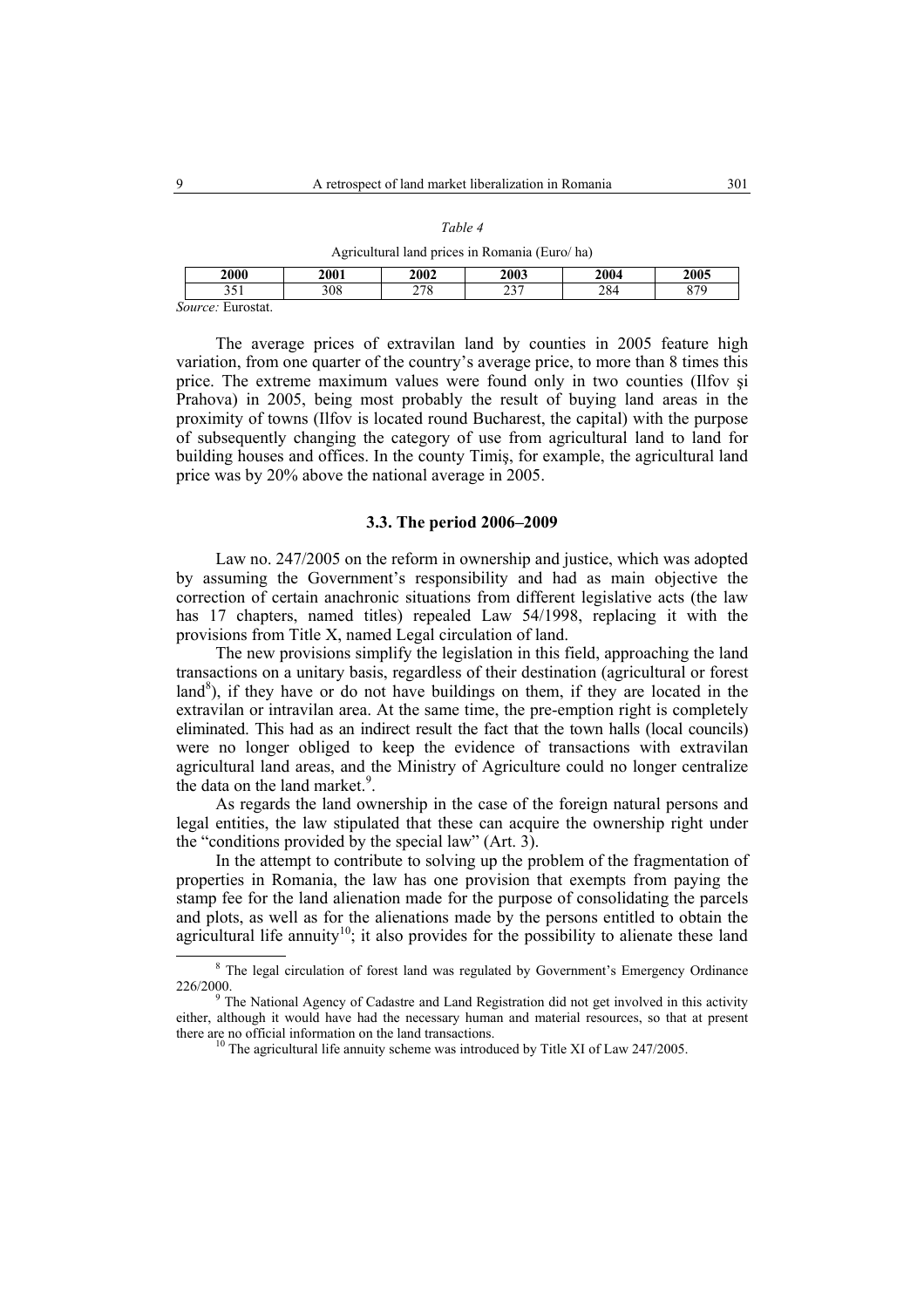#### *Table 4*

Agricultural land prices in Romania (Euro/ ha)

|        | 2000                                | 2001 | 2002             | 2003         | 2004 | 2005 |
|--------|-------------------------------------|------|------------------|--------------|------|------|
|        | ັ                                   | 308  | 270<br>- 70<br>- | $\sim$<br>رے | 284  | 870  |
| $\sim$ | <b>Euroctat</b><br>$\sum_{i=1}^{n}$ |      |                  |              |      |      |

*Source:* Eurostat.

The average prices of extravilan land by counties in 2005 feature high variation, from one quarter of the country's average price, to more than 8 times this price. The extreme maximum values were found only in two counties (Ilfov şi Prahova) in 2005, being most probably the result of buying land areas in the proximity of towns (Ilfov is located round Bucharest, the capital) with the purpose of subsequently changing the category of use from agricultural land to land for building houses and offices. In the county Timiş, for example, the agricultural land price was by 20% above the national average in 2005.

### **3.3. The period 2006–2009**

Law no. 247/2005 on the reform in ownership and justice, which was adopted by assuming the Government's responsibility and had as main objective the correction of certain anachronic situations from different legislative acts (the law has 17 chapters, named titles) repealed Law 54/1998, replacing it with the provisions from Title X, named Legal circulation of land.

The new provisions simplify the legislation in this field, approaching the land transactions on a unitary basis, regardless of their destination (agricultural or forest land<sup>8</sup>), if they have or do not have buildings on them, if they are located in the extravilan or intravilan area. At the same time, the pre-emption right is completely eliminated. This had as an indirect result the fact that the town halls (local councils) were no longer obliged to keep the evidence of transactions with extravilan agricultural land areas, and the Ministry of Agriculture could no longer centralize the data on the land market.<sup>9</sup>.

As regards the land ownership in the case of the foreign natural persons and legal entities, the law stipulated that these can acquire the ownership right under the "conditions provided by the special law" (Art. 3).

In the attempt to contribute to solving up the problem of the fragmentation of properties in Romania, the law has one provision that exempts from paying the stamp fee for the land alienation made for the purpose of consolidating the parcels and plots, as well as for the alienations made by the persons entitled to obtain the agricultural life annuity<sup>10</sup>; it also provides for the possibility to alienate these land

 <sup>8</sup> The legal circulation of forest land was regulated by Government's Emergency Ordinance 226/2000.<br><sup>9</sup> The National Agency of Cadastre and Land Registration did not get involved in this activity

either, although it would have had the necessary human and material resources, so that at present there are no official information on the land transactions.<br><sup>10</sup> The agricultural life annuity scheme was introduced by Title XI of Law 247/2005.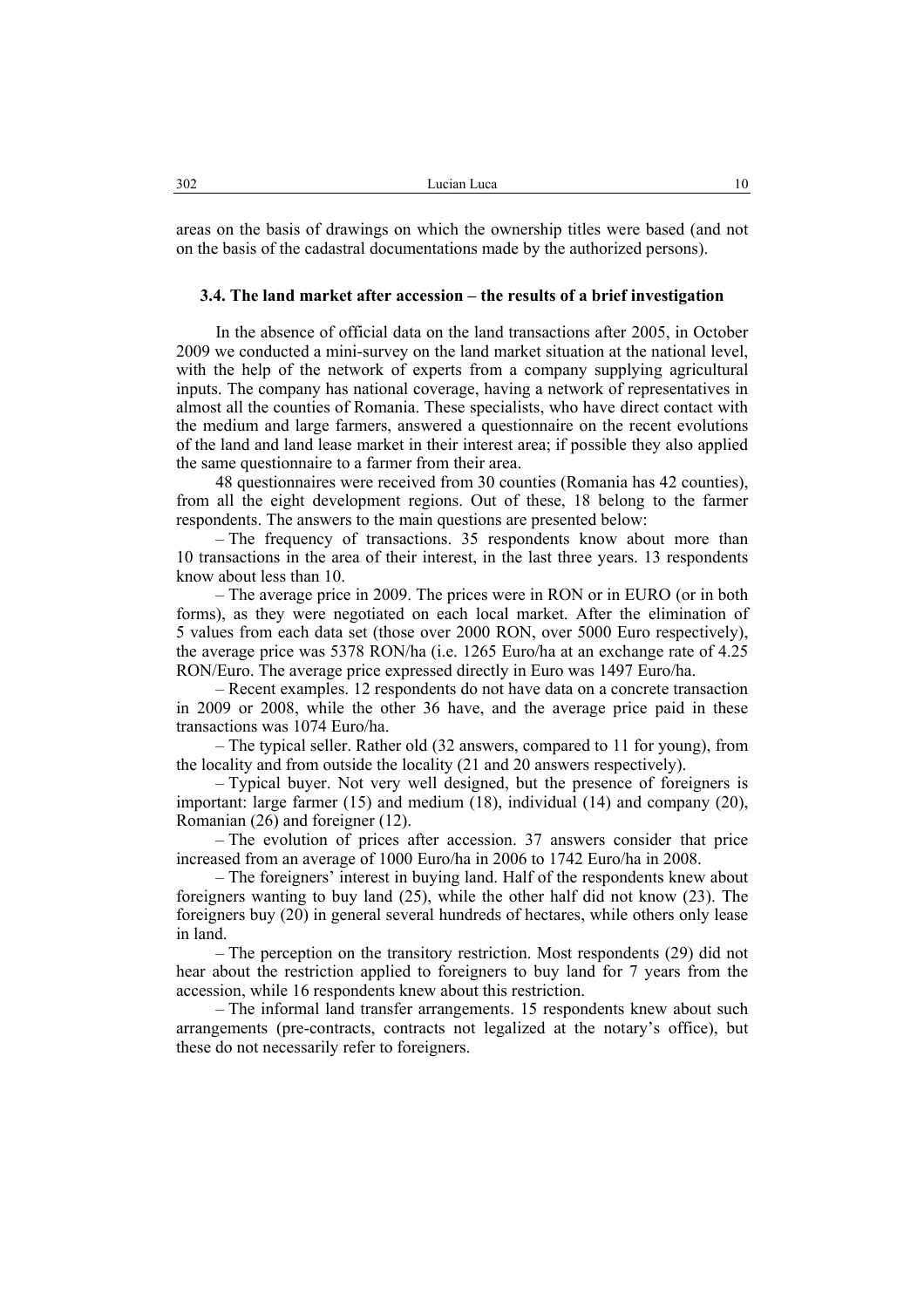areas on the basis of drawings on which the ownership titles were based (and not on the basis of the cadastral documentations made by the authorized persons).

### **3.4. The land market after accession – the results of a brief investigation**

In the absence of official data on the land transactions after 2005, in October 2009 we conducted a mini-survey on the land market situation at the national level, with the help of the network of experts from a company supplying agricultural inputs. The company has national coverage, having a network of representatives in almost all the counties of Romania. These specialists, who have direct contact with the medium and large farmers, answered a questionnaire on the recent evolutions of the land and land lease market in their interest area; if possible they also applied the same questionnaire to a farmer from their area.

48 questionnaires were received from 30 counties (Romania has 42 counties), from all the eight development regions. Out of these, 18 belong to the farmer respondents. The answers to the main questions are presented below:

– The frequency of transactions. 35 respondents know about more than 10 transactions in the area of their interest, in the last three years. 13 respondents know about less than 10.

– The average price in 2009. The prices were in RON or in EURO (or in both forms), as they were negotiated on each local market. After the elimination of 5 values from each data set (those over 2000 RON, over 5000 Euro respectively), the average price was 5378 RON/ha (i.e. 1265 Euro/ha at an exchange rate of 4.25 RON/Euro. The average price expressed directly in Euro was 1497 Euro/ha.

– Recent examples. 12 respondents do not have data on a concrete transaction in 2009 or 2008, while the other 36 have, and the average price paid in these transactions was 1074 Euro/ha.

– The typical seller. Rather old (32 answers, compared to 11 for young), from the locality and from outside the locality (21 and 20 answers respectively).

– Typical buyer. Not very well designed, but the presence of foreigners is important: large farmer (15) and medium (18), individual (14) and company (20), Romanian (26) and foreigner (12).

– The evolution of prices after accession. 37 answers consider that price increased from an average of 1000 Euro/ha in 2006 to 1742 Euro/ha in 2008.

– The foreigners' interest in buying land. Half of the respondents knew about foreigners wanting to buy land (25), while the other half did not know (23). The foreigners buy (20) in general several hundreds of hectares, while others only lease in land.

– The perception on the transitory restriction. Most respondents (29) did not hear about the restriction applied to foreigners to buy land for 7 years from the accession, while 16 respondents knew about this restriction.

– The informal land transfer arrangements. 15 respondents knew about such arrangements (pre-contracts, contracts not legalized at the notary's office), but these do not necessarily refer to foreigners.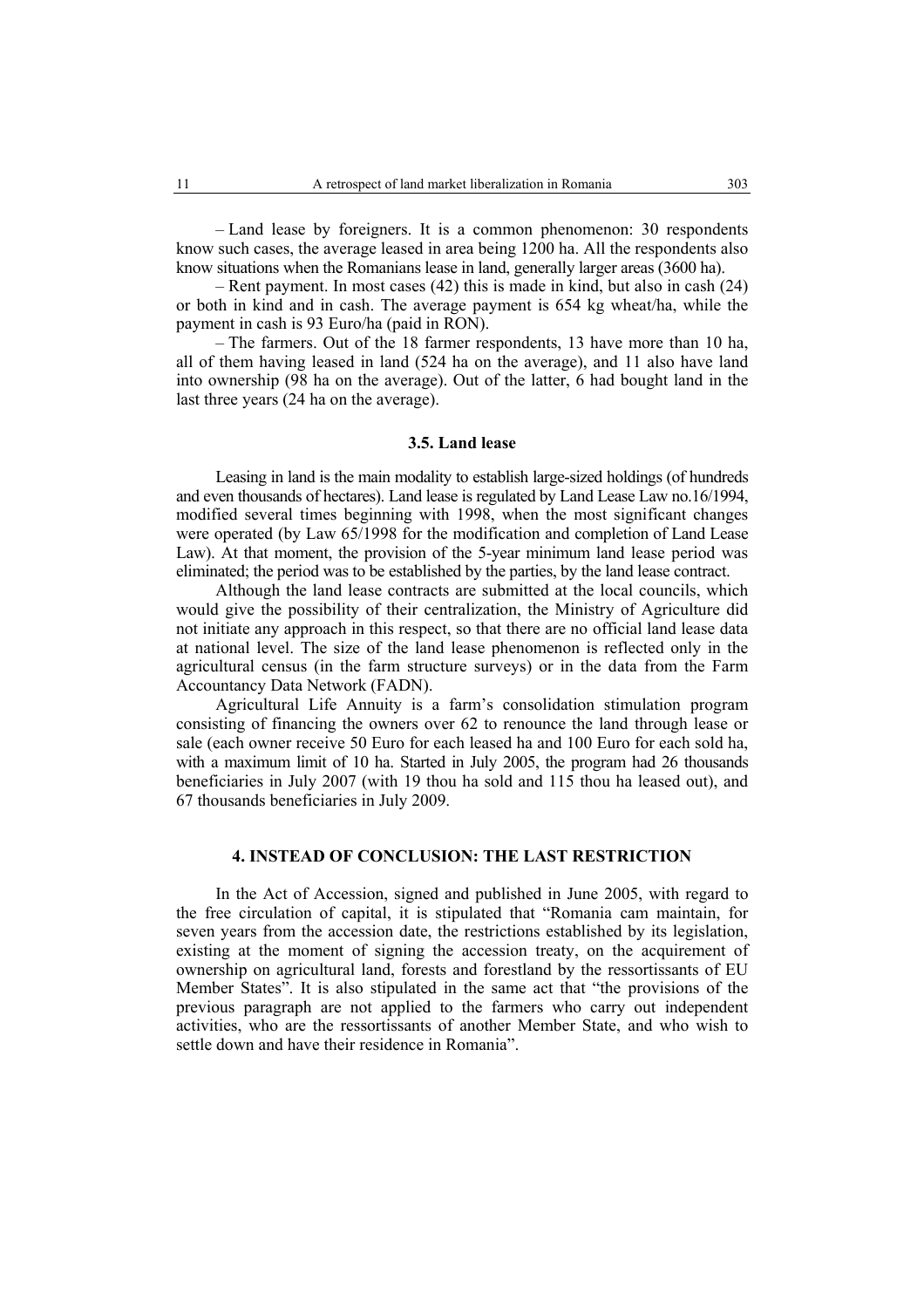– Land lease by foreigners. It is a common phenomenon: 30 respondents know such cases, the average leased in area being 1200 ha. All the respondents also know situations when the Romanians lease in land, generally larger areas (3600 ha).

– Rent payment. In most cases (42) this is made in kind, but also in cash (24) or both in kind and in cash. The average payment is 654 kg wheat/ha, while the payment in cash is 93 Euro/ha (paid in RON).

– The farmers. Out of the 18 farmer respondents, 13 have more than 10 ha, all of them having leased in land (524 ha on the average), and 11 also have land into ownership (98 ha on the average). Out of the latter, 6 had bought land in the last three years (24 ha on the average).

#### **3.5. Land lease**

Leasing in land is the main modality to establish large-sized holdings (of hundreds and even thousands of hectares). Land lease is regulated by Land Lease Law no.16/1994, modified several times beginning with 1998, when the most significant changes were operated (by Law 65/1998 for the modification and completion of Land Lease Law). At that moment, the provision of the 5-year minimum land lease period was eliminated; the period was to be established by the parties, by the land lease contract.

Although the land lease contracts are submitted at the local councils, which would give the possibility of their centralization, the Ministry of Agriculture did not initiate any approach in this respect, so that there are no official land lease data at national level. The size of the land lease phenomenon is reflected only in the agricultural census (in the farm structure surveys) or in the data from the Farm Accountancy Data Network (FADN).

Agricultural Life Annuity is a farm's consolidation stimulation program consisting of financing the owners over 62 to renounce the land through lease or sale (each owner receive 50 Euro for each leased ha and 100 Euro for each sold ha, with a maximum limit of 10 ha. Started in July 2005, the program had 26 thousands beneficiaries in July 2007 (with 19 thou ha sold and 115 thou ha leased out), and 67 thousands beneficiaries in July 2009.

### **4. INSTEAD OF CONCLUSION: THE LAST RESTRICTION**

In the Act of Accession, signed and published in June 2005, with regard to the free circulation of capital, it is stipulated that "Romania cam maintain, for seven years from the accession date, the restrictions established by its legislation, existing at the moment of signing the accession treaty, on the acquirement of ownership on agricultural land, forests and forestland by the ressortissants of EU Member States". It is also stipulated in the same act that "the provisions of the previous paragraph are not applied to the farmers who carry out independent activities, who are the ressortissants of another Member State, and who wish to settle down and have their residence in Romania".